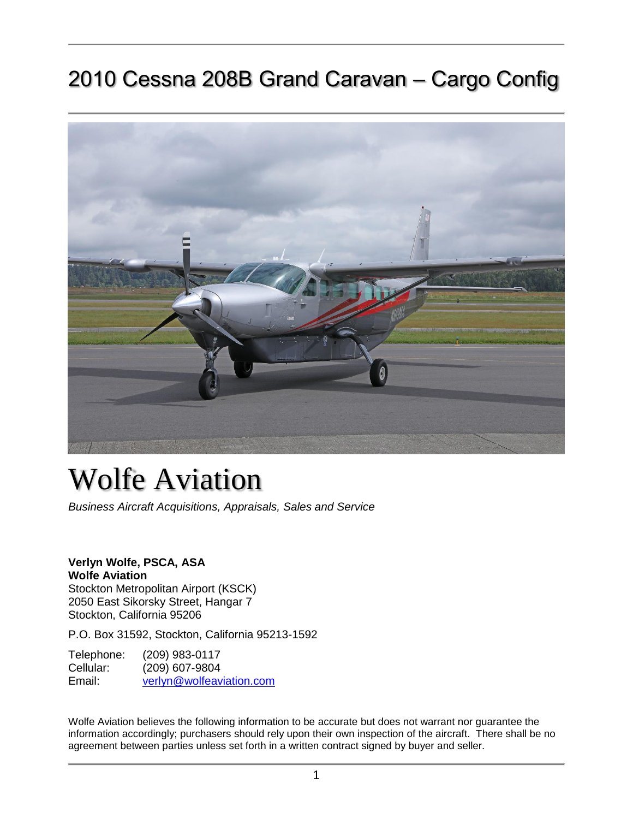# 2010 Cessna 208B Grand Caravan – Cargo Config



# Wolfe Aviation

*Business Aircraft Acquisitions, Appraisals, Sales and Service*

**Verlyn Wolfe, PSCA, ASA Wolfe Aviation** Stockton Metropolitan Airport (KSCK) 2050 East Sikorsky Street, Hangar 7 Stockton, California 95206

P.O. Box 31592, Stockton, California 95213-1592

Telephone: (209) 983-0117<br>Cellular: (209) 607-9804 (209) 607-9804 Email: [verlyn@wolfeaviation.com](mailto:sales@wolfeaviation.com?subject=Wolfe%20Aviation%20-%20N619MA%20-%202010%20Cessna%20208B%20Grand%20Caravan%20Cargo%20Config%20sn:%20208B2192)

Wolfe Aviation believes the following information to be accurate but does not warrant nor guarantee the information accordingly; purchasers should rely upon their own inspection of the aircraft. There shall be no agreement between parties unless set forth in a written contract signed by buyer and seller.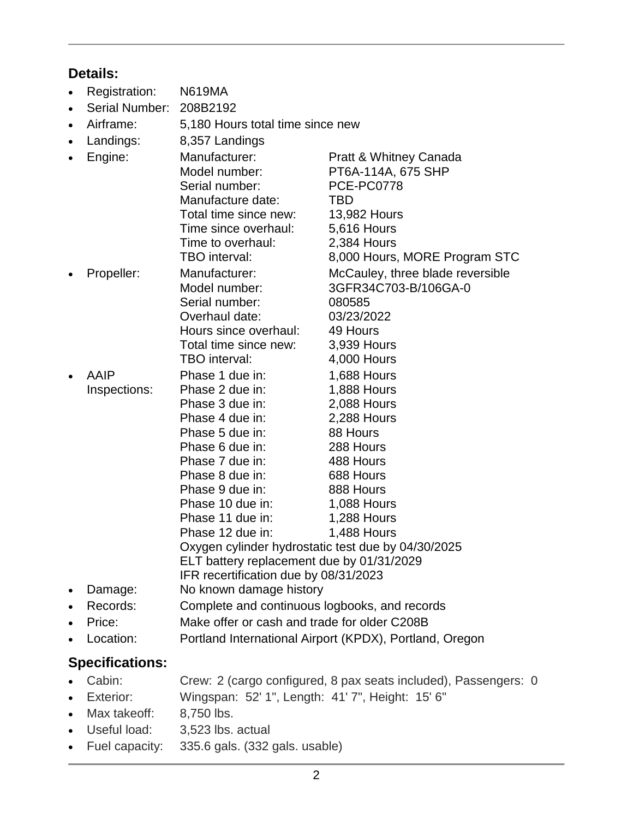# **Details:**

- Registration: N619MA
- Serial Number: 208B2192
- Airframe: 5,180 Hours total time since new
- Landings: 8,357 Landings • Engine: Manufacturer: Pratt & Whitney Canada Model number: PT6A-114A, 675 SHP Serial number: PCE-PC0778 Manufacture date: TBD Total time since new: 13,982 Hours Time since overhaul: 5,616 Hours Time to overhaul: 2,384 Hours TBO interval: 8,000 Hours, MORE Program STC • Propeller: Manufacturer: McCauley, three blade reversible Model number: 3GFR34C703-B/106GA-0 Serial number: 080585 Overhaul date: 03/23/2022 Hours since overhaul: 49 Hours Total time since new: 3,939 Hours TBO interval: 4,000 Hours AAIP Phase 1 due in: 1,688 Hours Inspections: Phase 2 due in: 1,888 Hours Phase 3 due in: 2,088 Hours Phase 4 due in: 2,288 Hours Phase 5 due in: 88 Hours Phase 6 due in: 288 Hours Phase 7 due in: 488 Hours Phase 8 due in: 688 Hours Phase 9 due in: 888 Hours Phase 10 due in: 1,088 Hours Phase 11 due in: 1,288 Hours Phase 12 due in: 1.488 Hours Oxygen cylinder hydrostatic test due by 04/30/2025 ELT battery replacement due by 01/31/2029 IFR recertification due by 08/31/2023 Damage: No known damage history
- Records: Complete and continuous logbooks, and records
- Price: Make offer or cash and trade for older C208B
- Location: Portland International Airport (KPDX), Portland, Oregon

# **Specifications:**

- Cabin: Crew: 2 (cargo configured, 8 pax seats included), Passengers: 0
- Exterior: Wingspan: 52' 1", Length: 41' 7", Height: 15' 6"
- Max takeoff: 8.750 lbs.
- Useful load: 3,523 lbs. actual
- Fuel capacity: 335.6 gals. (332 gals. usable)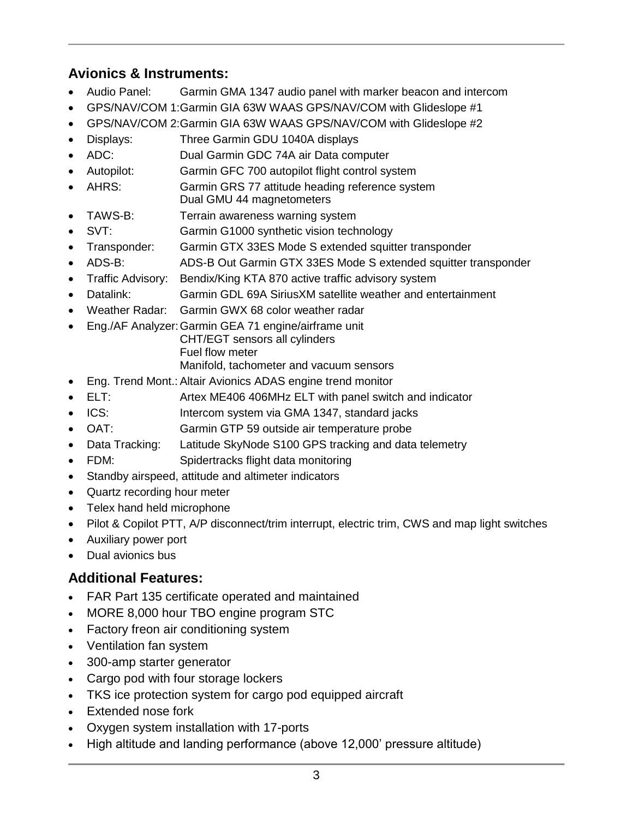#### **Avionics & Instruments:**

- Audio Panel: Garmin GMA 1347 audio panel with marker beacon and intercom
- GPS/NAV/COM 1:Garmin GIA 63W WAAS GPS/NAV/COM with Glideslope #1
- GPS/NAV/COM 2:Garmin GIA 63W WAAS GPS/NAV/COM with Glideslope #2
- Displays: Three Garmin GDU 1040A displays
- ADC: Dual Garmin GDC 74A air Data computer
- Autopilot: Garmin GFC 700 autopilot flight control system
- AHRS: Garmin GRS 77 attitude heading reference system Dual GMU 44 magnetometers
- TAWS-B: Terrain awareness warning system
- SVT: Garmin G1000 synthetic vision technology
- Transponder: Garmin GTX 33ES Mode S extended squitter transponder
- ADS-B: ADS-B Out Garmin GTX 33ES Mode S extended squitter transponder
- Traffic Advisory: Bendix/King KTA 870 active traffic advisory system
- Datalink: Garmin GDL 69A SiriusXM satellite weather and entertainment
- Weather Radar: Garmin GWX 68 color weather radar
- Eng./AF Analyzer:Garmin GEA 71 engine/airframe unit
	- CHT/EGT sensors all cylinders
		- Fuel flow meter
		- Manifold, tachometer and vacuum sensors
- Eng. Trend Mont.: Altair Avionics ADAS engine trend monitor
- ELT: Artex ME406 406MHz ELT with panel switch and indicator
- ICS: Intercom system via GMA 1347, standard jacks
- OAT: Garmin GTP 59 outside air temperature probe
- Data Tracking: Latitude SkyNode S100 GPS tracking and data telemetry
- FDM: Spidertracks flight data monitoring
- Standby airspeed, attitude and altimeter indicators
- Quartz recording hour meter
- Telex hand held microphone
- Pilot & Copilot PTT, A/P disconnect/trim interrupt, electric trim, CWS and map light switches
- Auxiliary power port
- Dual avionics bus

#### **Additional Features:**

- FAR Part 135 certificate operated and maintained
- MORE 8,000 hour TBO engine program STC
- Factory freon air conditioning system
- Ventilation fan system
- 300-amp starter generator
- Cargo pod with four storage lockers
- TKS ice protection system for cargo pod equipped aircraft
- Extended nose fork
- Oxygen system installation with 17-ports
- High altitude and landing performance (above 12,000' pressure altitude)